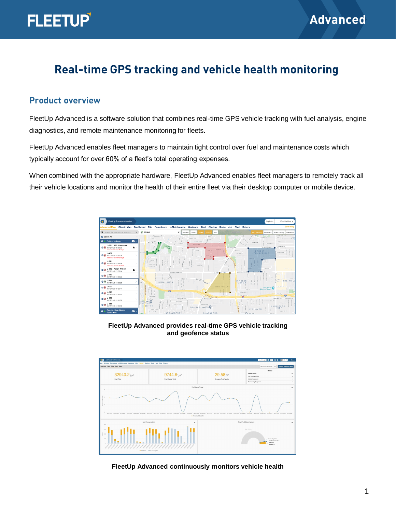## **Real-time GPS tracking and vehicle health monitoring**

#### **Product overview**

FleetUp Advanced is a software solution that combines real-time GPS vehicle tracking with fuel analysis, engine diagnostics, and remote maintenance monitoring for fleets.

FleetUp Advanced enables fleet managers to maintain tight control over fuel and maintenance costs which typically account for over 60% of a fleet's total operating expenses.

When combined with the appropriate hardware, FleetUp Advanced enables fleet managers to remotely track all their vehicle locations and monitor the health of their entire fleet via their desktop computer or mobile device.



**FleetUp Advanced provides real-time GPS vehicle tracking and geofence status** 



**FleetUp Advanced continuously monitors vehicle health**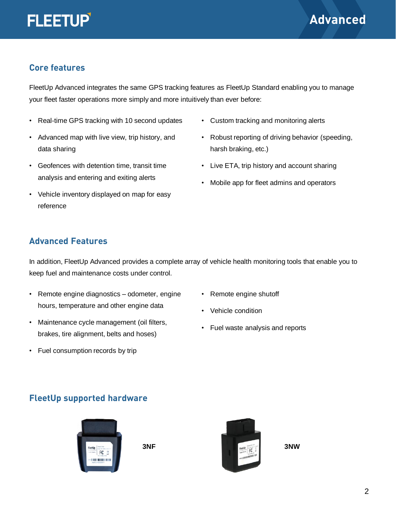

### **Core features**

FleetUp Advanced integrates the same GPS tracking features as FleetUp Standard enabling you to manage your fleet faster operations more simply and more intuitively than ever before:

- Real-time GPS tracking with 10 second updates
- Advanced map with live view, trip history, and data sharing
- Geofences with detention time, transit time analysis and entering and exiting alerts
- Vehicle inventory displayed on map for easy reference
- Custom tracking and monitoring alerts
- Robust reporting of driving behavior (speeding, harsh braking, etc.)
- Live ETA, trip history and account sharing
- Mobile app for fleet admins and operators

## **Advanced Features**

In addition, FleetUp Advanced provides a complete array of vehicle health monitoring tools that enable you to keep fuel and maintenance costs under control.

- Remote engine diagnostics odometer, engine hours, temperature and other engine data
- Maintenance cycle management (oil filters, brakes, tire alignment, belts and hoses)
- Fuel consumption records by trip
- Remote engine shutoff
- Vehicle condition
- Fuel waste analysis and reports

#### **FleetUp supported hardware**